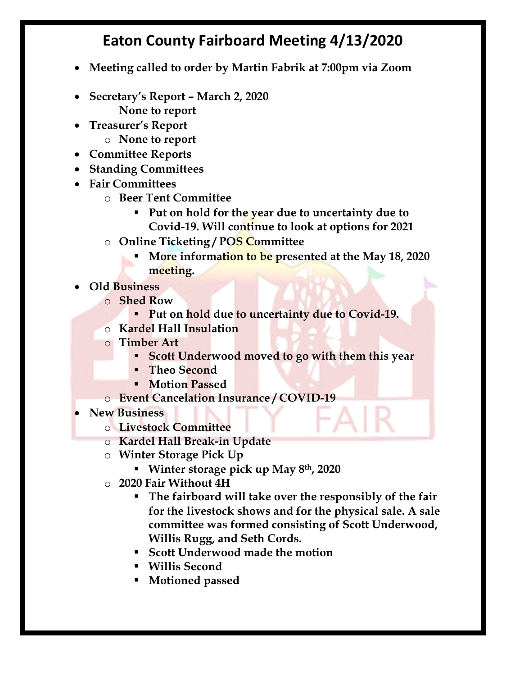## **Eaton County Fairboard Meeting 4/13/2020**

- **Meeting called to order by Martin Fabrik at 7:00pm via Zoom**
- **Secretary's Report – March 2, 2020 None to report**
- **Treasurer's Report**
	- o **None to report**
- **Committee Reports**
- **Standing Committees**
- **Fair Committees**
	- o **Beer Tent Committee** 
		- § **Put on hold for the year due to uncertainty due to Covid-19. Will continue to look at options for 2021**
	- o **Online Ticketing / POS Committee**
		- § **More information to be presented at the May 18, 2020 meeting.**
- **Old Business**
	- o **Shed Row**
		- § **Put on hold due to uncertainty due to Covid-19.**
	- o **Kardel Hall Insulation**
	- o **Timber Art**
		- § **Scott Underwood moved to go with them this year**
		- § **Theo Second**
		- § **Motion Passed**
	- o **Event Cancelation Insurance / COVID-19**
- **New Business**
	- o **Livestock Committee**
	- o **Kardel Hall Break-in Update**
	- o **Winter Storage Pick Up**
		- § **Winter storage pick up May 8th, 2020**
	- o **2020 Fair Without 4H**
		- § **The fairboard will take over the responsibly of the fair for the livestock shows and for the physical sale. A sale committee was formed consisting of Scott Underwood, Willis Rugg, and Seth Cords.**
		- § **Scott Underwood made the motion**
		- § **Willis Second**
		- § **Motioned passed**